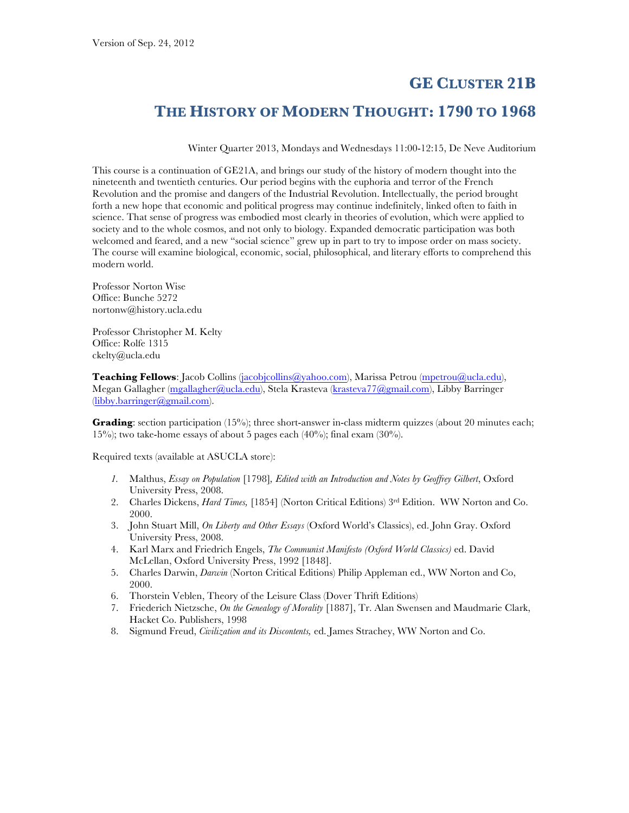# **GE CLUSTER 21B**

# **THE HISTORY OF MODERN THOUGHT: 1790 TO 1968**

Winter Quarter 2013, Mondays and Wednesdays 11:00-12:15, De Neve Auditorium

This course is a continuation of GE21A, and brings our study of the history of modern thought into the nineteenth and twentieth centuries. Our period begins with the euphoria and terror of the French Revolution and the promise and dangers of the Industrial Revolution. Intellectually, the period brought forth a new hope that economic and political progress may continue indefinitely, linked often to faith in science. That sense of progress was embodied most clearly in theories of evolution, which were applied to society and to the whole cosmos, and not only to biology. Expanded democratic participation was both welcomed and feared, and a new "social science" grew up in part to try to impose order on mass society. The course will examine biological, economic, social, philosophical, and literary efforts to comprehend this modern world.

Professor Norton Wise Office: Bunche 5272 nortonw@history.ucla.edu

Professor Christopher M. Kelty Office: Rolfe 1315 ckelty@ucla.edu

**Teaching Fellows**: Jacob Collins (jacobjcollins@yahoo.com), Marissa Petrou (mpetrou@ucla.edu), Megan Gallagher (mgallagher@ucla.edu), Stela Krasteva (krasteva77@gmail.com), Libby Barringer (libby.barringer@gmail.com).

**Grading**: section participation (15%); three short-answer in-class midterm quizzes (about 20 minutes each; 15%); two take-home essays of about 5 pages each (40%); final exam (30%).

Required texts (available at ASUCLA store):

- *1.* Malthus, *Essay on Population* [1798]*, Edited with an Introduction and Notes by Geoffrey Gilbert*, Oxford University Press, 2008.
- 2. Charles Dickens, *Hard Times,* [1854] (Norton Critical Editions) 3rd Edition. WW Norton and Co. 2000.
- 3. John Stuart Mill, *On Liberty and Other Essays* (Oxford World's Classics), ed. John Gray. Oxford University Press, 2008.
- 4. Karl Marx and Friedrich Engels, *The Communist Manifesto (Oxford World Classics)* ed. David McLellan, Oxford University Press, 1992 [1848].
- 5. Charles Darwin, *Darwin* (Norton Critical Editions) Philip Appleman ed., WW Norton and Co, 2000.
- 6. Thorstein Veblen, Theory of the Leisure Class (Dover Thrift Editions)
- 7. Friederich Nietzsche, *On the Genealogy of Morality* [1887], Tr. Alan Swensen and Maudmarie Clark, Hacket Co. Publishers, 1998
- 8. Sigmund Freud, *Civilization and its Discontents,* ed. James Strachey, WW Norton and Co.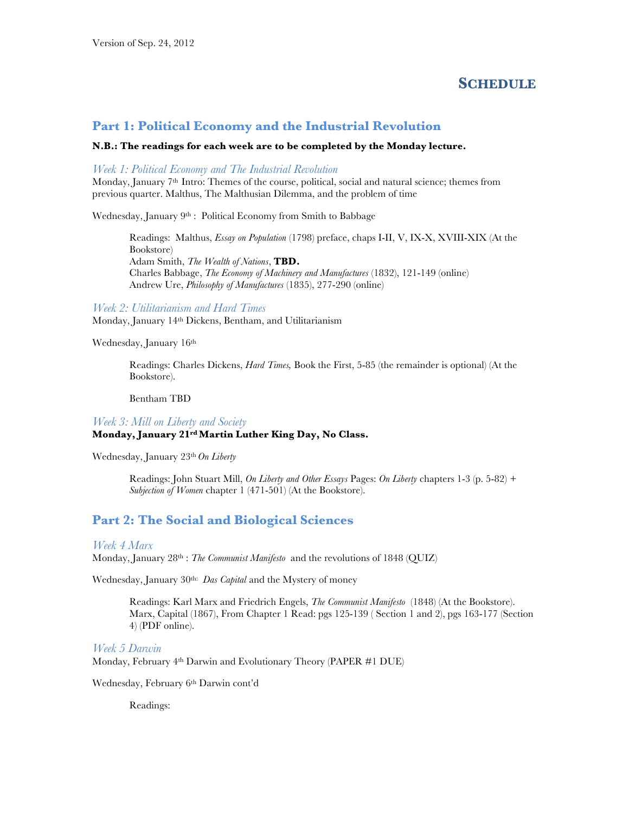## **SCHEDULE**

### **Part 1: Political Economy and the Industrial Revolution**

#### **N.B.: The readings for each week are to be completed by the Monday lecture.**

### *Week 1: Political Economy and The Industrial Revolution*

Monday, January 7<sup>th</sup> Intro: Themes of the course, political, social and natural science; themes from previous quarter. Malthus, The Malthusian Dilemma, and the problem of time

Wednesday, January 9<sup>th</sup> : Political Economy from Smith to Babbage

Readings: Malthus, *Essay on Population* (1798) preface, chaps I-II, V, IX-X, XVIII-XIX (At the Bookstore) Adam Smith, *The Wealth of Nations*, **TBD.** Charles Babbage, *The Economy of Machinery and Manufactures* (1832), 121-149 (online) Andrew Ure, *Philosophy of Manufactures* (1835), 277-290 (online)

*Week 2: Utilitarianism and Hard Times* Monday, January 14th Dickens, Bentham, and Utilitarianism

Wednesday, January 16th

Readings: Charles Dickens, *Hard Times,* Book the First, 5-85 (the remainder is optional) (At the Bookstore).

Bentham TBD

#### *Week 3: Mill on Liberty and Society* **Monday, January 21rd Martin Luther King Day, No Class.**

Wednesday, January 23th *On Liberty*

Readings: John Stuart Mill, *On Liberty and Other Essays* Pages: *On Liberty* chapters 1-3 (p. 5-82) *+ Subjection of Women* chapter 1 (471-501) (At the Bookstore).

## **Part 2: The Social and Biological Sciences**

#### *Week 4 Marx*

Monday, January 28th : *The Communist Manifesto* and the revolutions of 1848 (QUIZ)

Wednesday, January 30th: *Das Capital* and the Mystery of money

Readings: Karl Marx and Friedrich Engels, *The Communist Manifesto* (1848) (At the Bookstore). Marx, Capital (1867), From Chapter 1 Read: pgs 125-139 ( Section 1 and 2), pgs 163-177 (Section 4) (PDF online).

#### *Week 5 Darwin*

Monday, February 4th Darwin and Evolutionary Theory (PAPER #1 DUE)

Wednesday, February 6th Darwin cont'd

Readings: